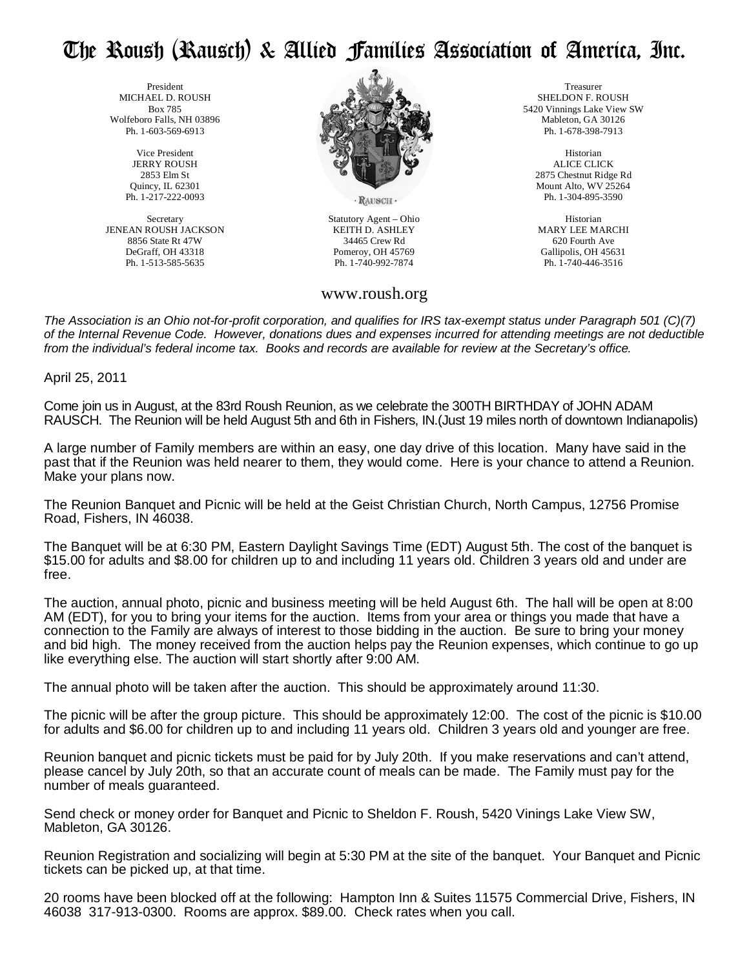## The Roush (Rausch) & Allied Families Association of America, Inc.

 President MICHAEL D. ROUSH Box 785 Wolfeboro Falls, NH 03896 Ph. 1-603-569-6913

> Vice President JERRY ROUSH 2853 Elm St Quincy, IL 62301 Ph. 1-217-222-0093

Secretary JENEAN ROUSH JACKSON 8856 State Rt 47W DeGraff, OH 43318 Ph. 1-513-585-5635



RAUSCH

Statutory Agent – Ohio KEITH D. ASHLEY 34465 Crew Rd Pomeroy, OH 45769 Ph. 1-740-992-7874

## www.roush.org

Treasurer SHELDON F. ROUSH 5420 Vinnings Lake View SW Mableton, GA 30126 Ph. 1-678-398-7913

Historian ALICE CLICK 2875 Chestnut Ridge Rd Mount Alto, WV 25264 Ph. 1-304-895-3590

Historian MARY LEE MARCHI 620 Fourth Ave Gallipolis, OH 45631 Ph. 1-740-446-3516

The Association is an Ohio not-for-profit corporation, and qualifies for IRS tax-exempt status under Paragraph 501 (C)(7) of the Internal Revenue Code. However, donations dues and expenses incurred for attending meetings are not deductible from the individual's federal income tax. Books and records are available for review at the Secretary's office.

April 25, 2011

Come join us in August, at the 83rd Roush Reunion, as we celebrate the 300TH BIRTHDAY of JOHN ADAM RAUSCH. The Reunion will be held August 5th and 6th in Fishers, IN.(Just 19 miles north of downtown Indianapolis)

A large number of Family members are within an easy, one day drive of this location. Many have said in the past that if the Reunion was held nearer to them, they would come. Here is your chance to attend a Reunion. Make your plans now.

The Reunion Banquet and Picnic will be held at the Geist Christian Church, North Campus, 12756 Promise Road, Fishers, IN 46038.

The Banquet will be at 6:30 PM, Eastern Daylight Savings Time (EDT) August 5th. The cost of the banquet is \$15.00 for adults and \$8.00 for children up to and including 11 years old. Children 3 years old and under are free.

The auction, annual photo, picnic and business meeting will be held August 6th. The hall will be open at 8:00 AM (EDT), for you to bring your items for the auction. Items from your area or things you made that have a connection to the Family are always of interest to those bidding in the auction. Be sure to bring your money and bid high. The money received from the auction helps pay the Reunion expenses, which continue to go up like everything else. The auction will start shortly after 9:00 AM.

The annual photo will be taken after the auction. This should be approximately around 11:30.

The picnic will be after the group picture. This should be approximately 12:00. The cost of the picnic is \$10.00 for adults and \$6.00 for children up to and including 11 years old. Children 3 years old and younger are free.

Reunion banquet and picnic tickets must be paid for by July 20th. If you make reservations and can't attend, please cancel by July 20th, so that an accurate count of meals can be made. The Family must pay for the number of meals guaranteed.

Send check or money order for Banquet and Picnic to Sheldon F. Roush, 5420 Vinings Lake View SW, Mableton, GA 30126.

Reunion Registration and socializing will begin at 5:30 PM at the site of the banquet. Your Banquet and Picnic tickets can be picked up, at that time.

20 rooms have been blocked off at the following: Hampton Inn & Suites 11575 Commercial Drive, Fishers, IN 46038 317-913-0300. Rooms are approx. \$89.00. Check rates when you call.